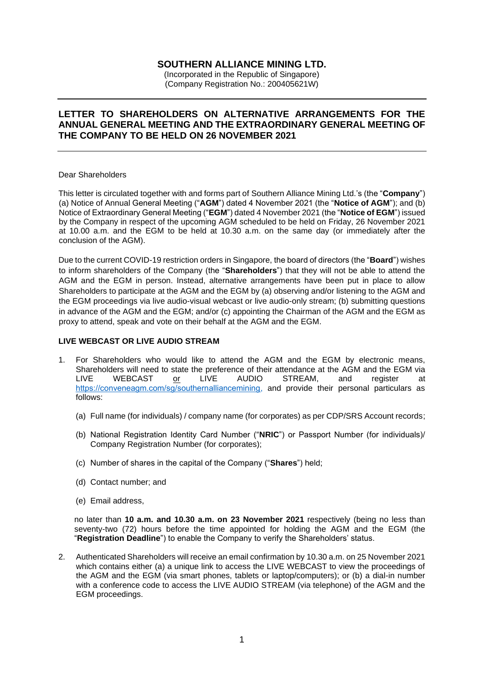# **SOUTHERN ALLIANCE MINING LTD.**

(Incorporated in the Republic of Singapore) (Company Registration No.: 200405621W)

## **LETTER TO SHAREHOLDERS ON ALTERNATIVE ARRANGEMENTS FOR THE ANNUAL GENERAL MEETING AND THE EXTRAORDINARY GENERAL MEETING OF THE COMPANY TO BE HELD ON 26 NOVEMBER 2021**

#### Dear Shareholders

This letter is circulated together with and forms part of Southern Alliance Mining Ltd.'s (the "**Company**") (a) Notice of Annual General Meeting ("**AGM**") dated 4 November 2021 (the "**Notice of AGM**"); and (b) Notice of Extraordinary General Meeting ("**EGM**") dated 4 November 2021 (the "**Notice of EGM**") issued by the Company in respect of the upcoming AGM scheduled to be held on Friday, 26 November 2021 at 10.00 a.m. and the EGM to be held at 10.30 a.m. on the same day (or immediately after the conclusion of the AGM).

Due to the current COVID-19 restriction orders in Singapore, the board of directors (the "**Board**") wishes to inform shareholders of the Company (the "**Shareholders**") that they will not be able to attend the AGM and the EGM in person. Instead, alternative arrangements have been put in place to allow Shareholders to participate at the AGM and the EGM by (a) observing and/or listening to the AGM and the EGM proceedings via live audio-visual webcast or live audio-only stream; (b) submitting questions in advance of the AGM and the EGM; and/or (c) appointing the Chairman of the AGM and the EGM as proxy to attend, speak and vote on their behalf at the AGM and the EGM.

### **LIVE WEBCAST OR LIVE AUDIO STREAM**

- 1. For Shareholders who would like to attend the AGM and the EGM by electronic means, Shareholders will need to state the preference of their attendance at the AGM and the EGM via LIVE WEBCAST or LIVE AUDIO STREAM, and register at [https://conveneagm.com/sg/southernalliancemining,](https://conveneagm.com/sg/southernalliancemining) and provide their personal particulars as follows:
	- (a) Full name (for individuals) / company name (for corporates) as per CDP/SRS Account records;
	- (b) National Registration Identity Card Number ("**NRIC**") or Passport Number (for individuals)/ Company Registration Number (for corporates);
	- (c) Number of shares in the capital of the Company ("**Shares**") held;
	- (d) Contact number; and
	- (e) Email address,

no later than **10 a.m. and 10.30 a.m. on 23 November 2021** respectively (being no less than seventy-two (72) hours before the time appointed for holding the AGM and the EGM (the "**Registration Deadline**") to enable the Company to verify the Shareholders' status.

2. Authenticated Shareholders will receive an email confirmation by 10.30 a.m. on 25 November 2021 which contains either (a) a unique link to access the LIVE WEBCAST to view the proceedings of the AGM and the EGM (via smart phones, tablets or laptop/computers); or (b) a dial-in number with a conference code to access the LIVE AUDIO STREAM (via telephone) of the AGM and the EGM proceedings.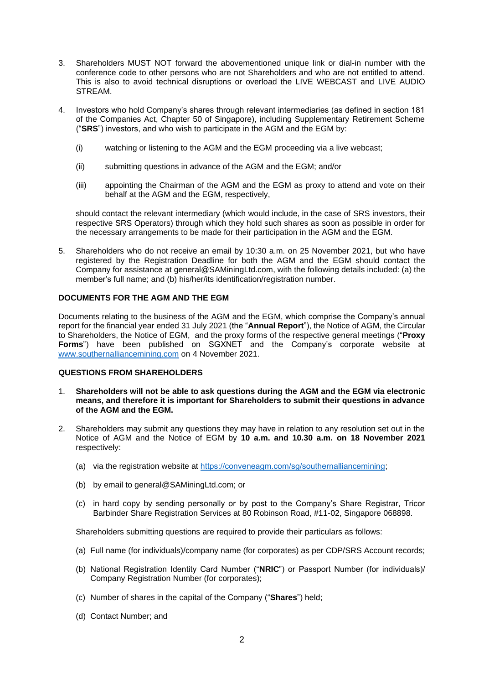- 3. Shareholders MUST NOT forward the abovementioned unique link or dial-in number with the conference code to other persons who are not Shareholders and who are not entitled to attend. This is also to avoid technical disruptions or overload the LIVE WEBCAST and LIVE AUDIO STREAM.
- 4. Investors who hold Company's shares through relevant intermediaries (as defined in section 181 of the Companies Act, Chapter 50 of Singapore), including Supplementary Retirement Scheme ("**SRS**") investors, and who wish to participate in the AGM and the EGM by:
	- (i) watching or listening to the AGM and the EGM proceeding via a live webcast;
	- (ii) submitting questions in advance of the AGM and the EGM; and/or
	- (iii) appointing the Chairman of the AGM and the EGM as proxy to attend and vote on their behalf at the AGM and the EGM, respectively,

should contact the relevant intermediary (which would include, in the case of SRS investors, their respective SRS Operators) through which they hold such shares as soon as possible in order for the necessary arrangements to be made for their participation in the AGM and the EGM.

5. Shareholders who do not receive an email by 10:30 a.m. on 25 November 2021, but who have registered by the Registration Deadline for both the AGM and the EGM should contact the Company for assistance at general@SAMiningLtd.com, with the following details included: (a) the member's full name; and (b) his/her/its identification/registration number.

## **DOCUMENTS FOR THE AGM AND THE EGM**

Documents relating to the business of the AGM and the EGM, which comprise the Company's annual report for the financial year ended 31 July 2021 (the "**Annual Report**"), the Notice of AGM, the Circular to Shareholders, the Notice of EGM, and the proxy forms of the respective general meetings ("**Proxy Forms**") have been published on SGXNET and the Company's corporate website at [www.southernalliancemining.com](file:///C:/Users/CEWong/AppData/Local/Microsoft/Windows/INetCache/Content.Outlook/ADPPLA0I/www.southernalliancemining.com/) on 4 November 2021.

### **QUESTIONS FROM SHAREHOLDERS**

- 1. **Shareholders will not be able to ask questions during the AGM and the EGM via electronic means, and therefore it is important for Shareholders to submit their questions in advance of the AGM and the EGM.**
- 2. Shareholders may submit any questions they may have in relation to any resolution set out in the Notice of AGM and the Notice of EGM by **10 a.m. and 10.30 a.m. on 18 November 2021** respectively:
	- (a) via the registration website at [https://conveneagm.com/sg/southernalliancemining;](https://conveneagm.com/sg/southernalliancemining)
	- (b) by email to general@SAMiningLtd.com; or
	- (c) in hard copy by sending personally or by post to the Company's Share Registrar, Tricor Barbinder Share Registration Services at 80 Robinson Road, #11-02, Singapore 068898.

Shareholders submitting questions are required to provide their particulars as follows:

- (a) Full name (for individuals)/company name (for corporates) as per CDP/SRS Account records;
- (b) National Registration Identity Card Number ("**NRIC**") or Passport Number (for individuals)/ Company Registration Number (for corporates);
- (c) Number of shares in the capital of the Company ("**Shares**") held;
- (d) Contact Number; and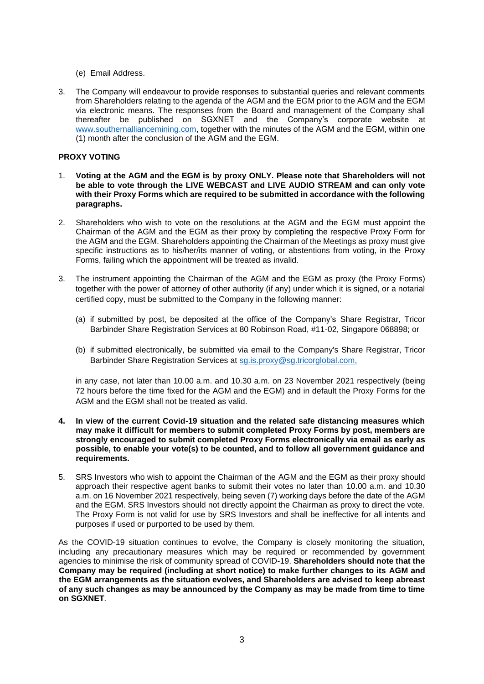- (e) Email Address.
- 3. The Company will endeavour to provide responses to substantial queries and relevant comments from Shareholders relating to the agenda of the AGM and the EGM prior to the AGM and the EGM via electronic means. The responses from the Board and management of the Company shall thereafter be published on SGXNET and the Company's corporate website at [www.southernalliancemining.com,](file:///C:/Users/CEWong/AppData/Local/Microsoft/Windows/INetCache/Content.Outlook/ADPPLA0I/www.southernalliancemining.com/) together with the minutes of the AGM and the EGM, within one (1) month after the conclusion of the AGM and the EGM.

### **PROXY VOTING**

- 1. **Voting at the AGM and the EGM is by proxy ONLY. Please note that Shareholders will not be able to vote through the LIVE WEBCAST and LIVE AUDIO STREAM and can only vote with their Proxy Forms which are required to be submitted in accordance with the following paragraphs.**
- 2. Shareholders who wish to vote on the resolutions at the AGM and the EGM must appoint the Chairman of the AGM and the EGM as their proxy by completing the respective Proxy Form for the AGM and the EGM. Shareholders appointing the Chairman of the Meetings as proxy must give specific instructions as to his/her/its manner of voting, or abstentions from voting, in the Proxy Forms, failing which the appointment will be treated as invalid.
- 3. The instrument appointing the Chairman of the AGM and the EGM as proxy (the Proxy Forms) together with the power of attorney of other authority (if any) under which it is signed, or a notarial certified copy, must be submitted to the Company in the following manner:
	- (a) if submitted by post, be deposited at the office of the Company's Share Registrar, Tricor Barbinder Share Registration Services at 80 Robinson Road, #11-02, Singapore 068898; or
	- (b) if submitted electronically, be submitted via email to the Company's Share Registrar, Tricor Barbinder Share Registration Services at [sg.is.proxy@sg.tricorglobal.com,](mailto:ixbiopharma-agm@complete-corp.com.sg)

in any case, not later than 10.00 a.m. and 10.30 a.m. on 23 November 2021 respectively (being 72 hours before the time fixed for the AGM and the EGM) and in default the Proxy Forms for the AGM and the EGM shall not be treated as valid.

- **4. In view of the current Covid-19 situation and the related safe distancing measures which may make it difficult for members to submit completed Proxy Forms by post, members are strongly encouraged to submit completed Proxy Forms electronically via email as early as possible, to enable your vote(s) to be counted, and to follow all government guidance and requirements.**
- 5. SRS Investors who wish to appoint the Chairman of the AGM and the EGM as their proxy should approach their respective agent banks to submit their votes no later than 10.00 a.m. and 10.30 a.m. on 16 November 2021 respectively, being seven (7) working days before the date of the AGM and the EGM. SRS Investors should not directly appoint the Chairman as proxy to direct the vote. The Proxy Form is not valid for use by SRS Investors and shall be ineffective for all intents and purposes if used or purported to be used by them.

As the COVID-19 situation continues to evolve, the Company is closely monitoring the situation, including any precautionary measures which may be required or recommended by government agencies to minimise the risk of community spread of COVID-19. **Shareholders should note that the Company may be required (including at short notice) to make further changes to its AGM and the EGM arrangements as the situation evolves, and Shareholders are advised to keep abreast of any such changes as may be announced by the Company as may be made from time to time on SGXNET***.*